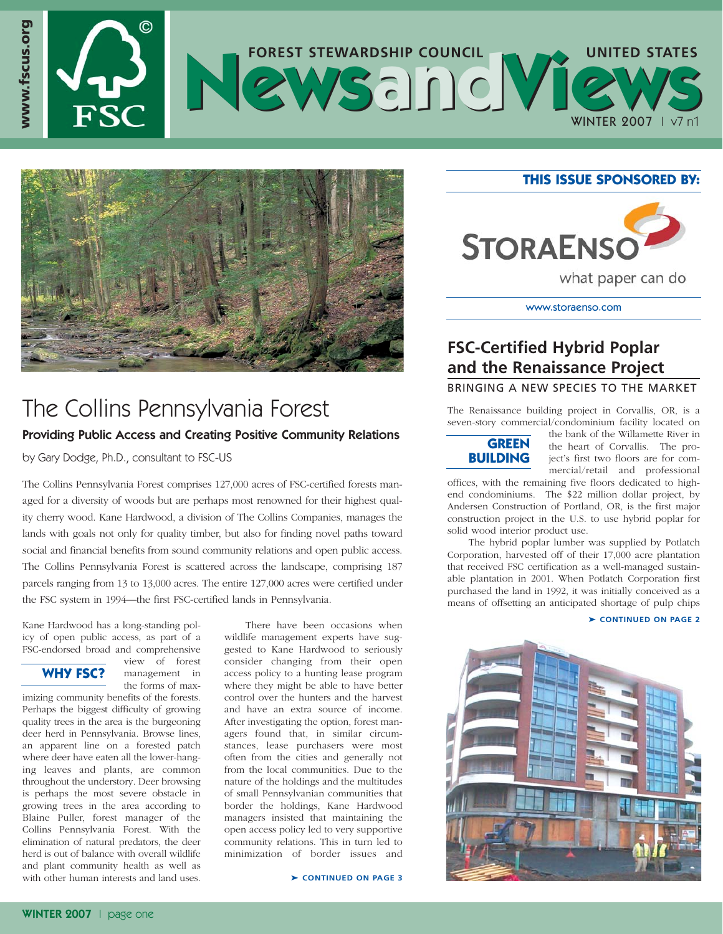# $\circledcirc$ **www.fscus.org FOREST STEWARDSHIP COUNCIL** UNITED STATES WINTER 2007 | v7 n1



# The Collins Pennsylvania Forest

### Providing Public Access and Creating Positive Community Relations

by Gary Dodge, Ph.D., consultant to FSC-US

The Collins Pennsylvania Forest comprises 127,000 acres of FSC-certified forests managed for a diversity of woods but are perhaps most renowned for their highest quality cherry wood. Kane Hardwood, a division of The Collins Companies, manages the lands with goals not only for quality timber, but also for finding novel paths toward social and financial benefits from sound community relations and open public access. The Collins Pennsylvania Forest is scattered across the landscape, comprising 187 parcels ranging from 13 to 13,000 acres. The entire 127,000 acres were certified under the FSC system in 1994—the first FSC-certified lands in Pennsylvania.

Kane Hardwood has a long-standing policy of open public access, as part of a FSC-endorsed broad and comprehensive view of forest

### **WHY FSC?**

www.fscus.org

management in the forms of max-

imizing community benefits of the forests. Perhaps the biggest difficulty of growing quality trees in the area is the burgeoning deer herd in Pennsylvania. Browse lines, an apparent line on a forested patch where deer have eaten all the lower-hanging leaves and plants, are common throughout the understory. Deer browsing is perhaps the most severe obstacle in growing trees in the area according to Blaine Puller, forest manager of the Collins Pennsylvania Forest. With the elimination of natural predators, the deer herd is out of balance with overall wildlife and plant community health as well as with other human interests and land uses.

There have been occasions when wildlife management experts have suggested to Kane Hardwood to seriously consider changing from their open access policy to a hunting lease program where they might be able to have better control over the hunters and the harvest and have an extra source of income. After investigating the option, forest managers found that, in similar circumstances, lease purchasers were most often from the cities and generally not from the local communities. Due to the nature of the holdings and the multitudes of small Pennsylvanian communities that border the holdings, Kane Hardwood managers insisted that maintaining the open access policy led to very supportive community relations. This in turn led to minimization of border issues and

➤ **CONTINUED ON PAGE 3**

#### **THIS ISSUE SPONSORED BY:**



www.storaenso.com

## **FSC-Certified Hybrid Poplar and the Renaissance Project**

#### BRINGING A NEW SPECIES TO THE MARKET

The Renaissance building project in Corvallis, OR, is a seven-story commercial/condominium facility located on



the bank of the Willamette River in the heart of Corvallis. The project's first two floors are for commercial/retail and professional

offices, with the remaining five floors dedicated to highend condominiums. The \$22 million dollar project, by Andersen Construction of Portland, OR, is the first major construction project in the U.S. to use hybrid poplar for solid wood interior product use.

The hybrid poplar lumber was supplied by Potlatch Corporation, harvested off of their 17,000 acre plantation that received FSC certification as a well-managed sustainable plantation in 2001. When Potlatch Corporation first purchased the land in 1992, it was initially conceived as a means of offsetting an anticipated shortage of pulp chips

#### ➤ **CONTINUED ON PAGE 2**

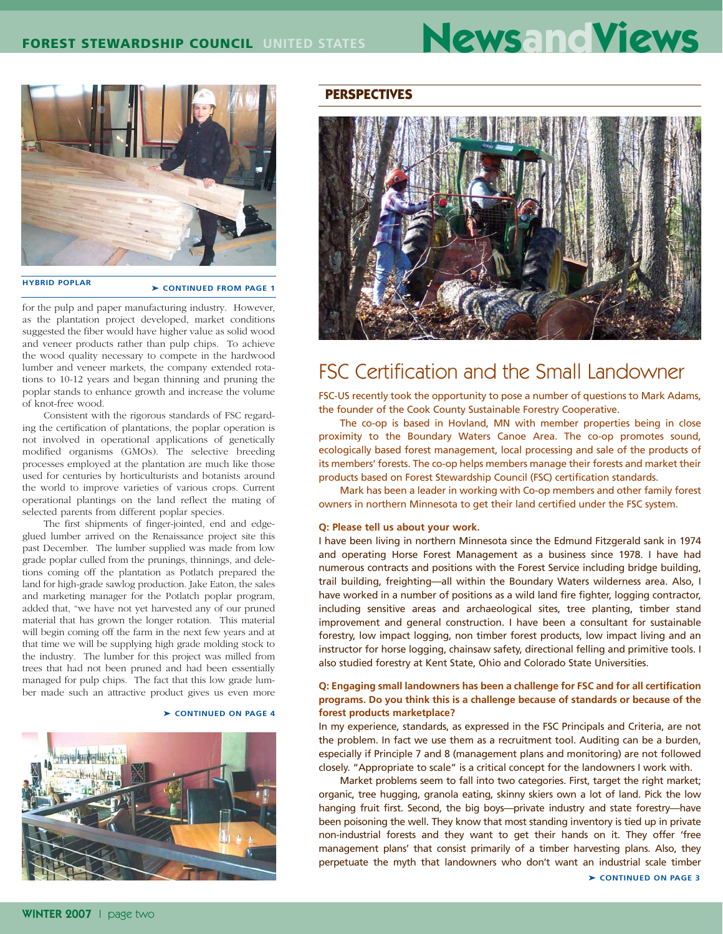# **FOREST STEWARDSHIP COUNCIL UNITED STATES NewsandViews**



**HYBRID POPLAR EXAMPLE FROM PAGE 1** 

for the pulp and paper manufacturing industry. However, as the plantation project developed, market conditions suggested the fiber would have higher value as solid wood and veneer products rather than pulp chips. To achieve the wood quality necessary to compete in the hardwood lumber and veneer markets, the company extended rotations to 10-12 years and began thinning and pruning the poplar stands to enhance growth and increase the volume of knot-free wood.

Consistent with the rigorous standards of FSC regarding the certification of plantations, the poplar operation is not involved in operational applications of genetically modified organisms (GMOs). The selective breeding processes employed at the plantation are much like those used for centuries by horticulturists and botanists around the world to improve varieties of various crops. Current operational plantings on the land reflect the mating of selected parents from different poplar species.

The first shipments of finger-jointed, end and edgeglued lumber arrived on the Renaissance project site this past December. The lumber supplied was made from low grade poplar culled from the prunings, thinnings, and deletions coming off the plantation as Potlatch prepared the land for high-grade sawlog production. Jake Eaton, the sales and marketing manager for the Potlatch poplar program, added that, "we have not yet harvested any of our pruned material that has grown the longer rotation. This material will begin coming off the farm in the next few years and at that time we will be supplying high grade molding stock to the industry. The lumber for this project was milled from trees that had not been pruned and had been essentially managed for pulp chips. The fact that this low grade lumber made such an attractive product gives us even more

#### ➤ **CONTINUED ON PAGE 4**



#### **PERSPECTIVES**



# FSC Certification and the Small Landowner

FSC-US recently took the opportunity to pose a number of questions to Mark Adams, the founder of the Cook County Sustainable Forestry Cooperative.

The co-op is based in Hovland, MN with member properties being in close proximity to the Boundary Waters Canoe Area. The co-op promotes sound, ecologically based forest management, local processing and sale of the products of its members' forests. The co-op helps members manage their forests and market their products based on Forest Stewardship Council (FSC) certification standards.

Mark has been a leader in working with Co-op members and other family forest owners in northern Minnesota to get their land certified under the FSC system.

#### **Q: Please tell us about your work.**

I have been living in northern Minnesota since the Edmund Fitzgerald sank in 1974 and operating Horse Forest Management as a business since 1978. I have had numerous contracts and positions with the Forest Service including bridge building, trail building, freighting—all within the Boundary Waters wilderness area. Also, I have worked in a number of positions as a wild land fire fighter, logging contractor, including sensitive areas and archaeological sites, tree planting, timber stand improvement and general construction. I have been a consultant for sustainable forestry, low impact logging, non timber forest products, low impact living and an instructor for horse logging, chainsaw safety, directional felling and primitive tools. I also studied forestry at Kent State, Ohio and Colorado State Universities.

#### **Q: Engaging small landowners has been a challenge for FSC and for all certification programs. Do you think this is a challenge because of standards or because of the forest products marketplace?**

In my experience, standards, as expressed in the FSC Principals and Criteria, are not the problem. In fact we use them as a recruitment tool. Auditing can be a burden, especially if Principle 7 and 8 (management plans and monitoring) are not followed closely. "Appropriate to scale" is a critical concept for the landowners I work with.

Market problems seem to fall into two categories. First, target the right market; organic, tree hugging, granola eating, skinny skiers own a lot of land. Pick the low hanging fruit first. Second, the big boys—private industry and state forestry—have been poisoning the well. They know that most standing inventory is tied up in private non-industrial forests and they want to get their hands on it. They offer 'free management plans' that consist primarily of a timber harvesting plans. Also, they perpetuate the myth that landowners who don't want an industrial scale timber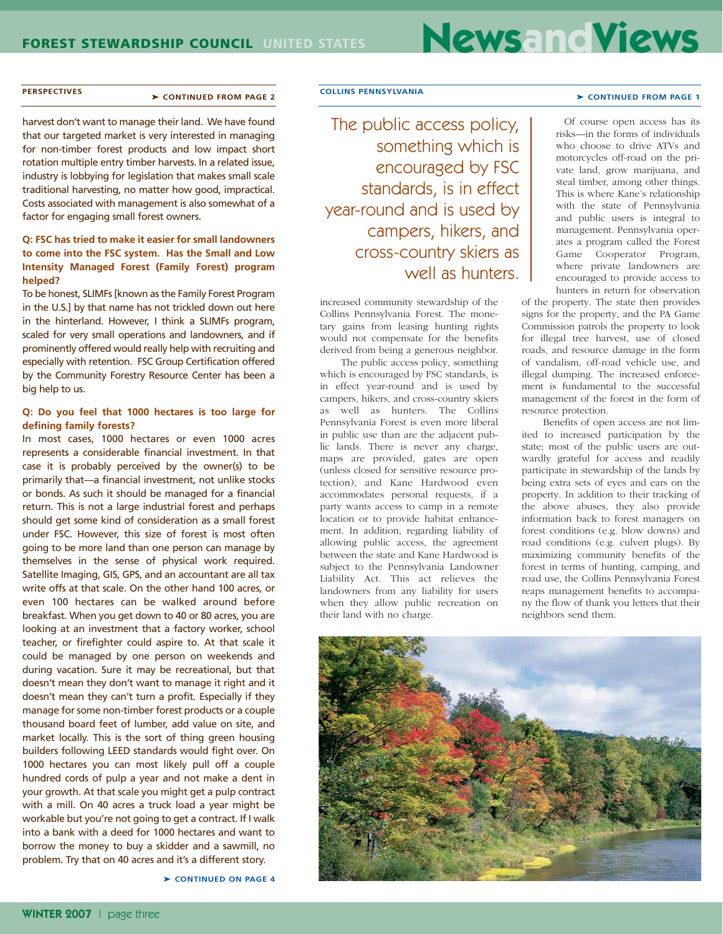# **FOREST STEWARDSHIP COUNCIL UNITED STATES NewsandViews**

#### **PERSPECTIVES** > CONTINUED FROM PAGE 2

harvest don't want to manage their land. We have found that our targeted market is very interested in managing for non-timber forest products and low impact short rotation multiple entry timber harvests. In a related issue, industry is lobbying for legislation that makes small scale traditional harvesting, no matter how good, impractical. Costs associated with management is also somewhat of a factor for engaging small forest owners.

#### **Q: FSC has tried to make it easier for small landowners to come into the FSC system. Has the Small and Low Intensity Managed Forest (Family Forest) program helped?**

To be honest, SLIMFs [known as the Family Forest Program in the U.S.] by that name has not trickled down out here in the hinterland. However, I think a SLIMFs program, scaled for very small operations and landowners, and if prominently offered would really help with recruiting and especially with retention. FSC Group Certification offered by the Community Forestry Resource Center has been a big help to us.

#### **Q: Do you feel that 1000 hectares is too large for defining family forests?**

In most cases, 1000 hectares or even 1000 acres represents a considerable financial investment. In that case it is probably perceived by the owner(s) to be primarily that—a financial investment, not unlike stocks or bonds. As such it should be managed for a financial return. This is not a large industrial forest and perhaps should get some kind of consideration as a small forest under FSC. However, this size of forest is most often going to be more land than one person can manage by themselves in the sense of physical work required. Satellite Imaging, GIS, GPS, and an accountant are all tax write offs at that scale. On the other hand 100 acres, or even 100 hectares can be walked around before breakfast. When you get down to 40 or 80 acres, you are looking at an investment that a factory worker, school teacher, or firefighter could aspire to. At that scale it could be managed by one person on weekends and during vacation. Sure it may be recreational, but that doesn't mean they don't want to manage it right and it doesn't mean they can't turn a profit. Especially if they manage for some non-timber forest products or a couple thousand board feet of lumber, add value on site, and market locally. This is the sort of thing green housing builders following LEED standards would fight over. On 1000 hectares you can most likely pull off a couple hundred cords of pulp a year and not make a dent in your growth. At that scale you might get a pulp contract with a mill. On 40 acres a truck load a year might be workable but you're not going to get a contract. If I walk into a bank with a deed for 1000 hectares and want to borrow the money to buy a skidder and a sawmill, no problem. Try that on 40 acres and it's a different story.

➤ **CONTINUED ON PAGE 4**

#### **COLLINS PENNSYLVANIA** ➤ **CONTINUED FROM PAGE 1**

The public access policy, something which is encouraged by FSC standards, is in effect year-round and is used by campers, hikers, and cross-country skiers as well as hunters.

increased community stewardship of the Collins Pennsylvania Forest. The monetary gains from leasing hunting rights would not compensate for the benefits derived from being a generous neighbor.

The public access policy, something which is encouraged by FSC standards, is in effect year-round and is used by campers, hikers, and cross-country skiers as well as hunters. The Collins Pennsylvania Forest is even more liberal in public use than are the adjacent public lands. There is never any charge, maps are provided, gates are open (unless closed for sensitive resource protection), and Kane Hardwood even accommodates personal requests, if a party wants access to camp in a remote location or to provide habitat enhancement. In addition, regarding liability of allowing public access, the agreement between the state and Kane Hardwood is subject to the Pennsylvania Landowner Liability Act. This act relieves the landowners from any liability for users when they allow public recreation on their land with no charge.

Of course open access has its risks—in the forms of individuals who choose to drive ATVs and motorcycles off-road on the private land, grow marijuana, and steal timber, among other things. This is where Kane's relationship with the state of Pennsylvania and public users is integral to management. Pennsylvania operates a program called the Forest Game Cooperator Program, where private landowners are encouraged to provide access to hunters in return for observation

of the property. The state then provides signs for the property, and the PA Game Commission patrols the property to look for illegal tree harvest, use of closed roads, and resource damage in the form of vandalism, off-road vehicle use, and illegal dumping. The increased enforcement is fundamental to the successful management of the forest in the form of resource protection.

Benefits of open access are not limited to increased participation by the state; most of the public users are outwardly grateful for access and readily participate in stewardship of the lands by being extra sets of eyes and ears on the property. In addition to their tracking of the above abuses, they also provide information back to forest managers on forest conditions (e.g. blow downs) and road conditions (e.g. culvert plugs). By maximizing community benefits of the forest in terms of hunting, camping, and road use, the Collins Pennsylvania Forest reaps management benefits to accompany the flow of thank you letters that their neighbors send them.